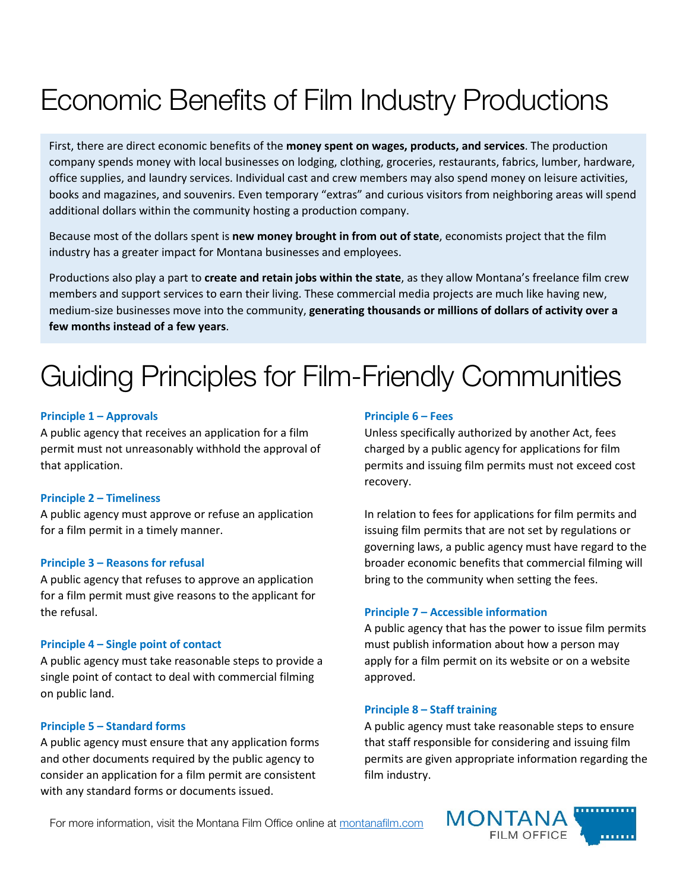# Economic Benefits of Film Industry Productions

First, there are direct economic benefits of the **money spent on wages, products, and services**. The production company spends money with local businesses on lodging, clothing, groceries, restaurants, fabrics, lumber, hardware, office supplies, and laundry services. Individual cast and crew members may also spend money on leisure activities, books and magazines, and souvenirs. Even temporary "extras" and curious visitors from neighboring areas will spend additional dollars within the community hosting a production company.

Because most of the dollars spent is **new money brought in from out of state**, economists project that the film industry has a greater impact for Montana businesses and employees.

Productions also play a part to **create and retain jobs within the state**, as they allow Montana's freelance film crew members and support services to earn their living. These commercial media projects are much like having new, medium-size businesses move into the community, **generating thousands or millions of dollars of activity over a few months instead of a few years**.

# Guiding Principles for Film-Friendly Communities

### **Principle 1 – Approvals**

A public agency that receives an application for a film permit must not unreasonably withhold the approval of that application.

#### **Principle 2 – Timeliness**

A public agency must approve or refuse an application for a film permit in a timely manner.

#### **Principle 3 – Reasons for refusal**

A public agency that refuses to approve an application for a film permit must give reasons to the applicant for the refusal.

#### **Principle 4 – Single point of contact**

A public agency must take reasonable steps to provide a single point of contact to deal with commercial filming on public land.

## **Principle 5 – Standard forms**

A public agency must ensure that any application forms and other documents required by the public agency to consider an application for a film permit are consistent with any standard forms or documents issued.

### **Principle 6 – Fees**

Unless specifically authorized by another Act, fees charged by a public agency for applications for film permits and issuing film permits must not exceed cost recovery.

In relation to fees for applications for film permits and issuing film permits that are not set by regulations or governing laws, a public agency must have regard to the broader economic benefits that commercial filming will bring to the community when setting the fees.

## **Principle 7 – Accessible information**

A public agency that has the power to issue film permits must publish information about how a person may apply for a film permit on its website or on a website approved.

#### **Principle 8 – Staff training**

A public agency must take reasonable steps to ensure that staff responsible for considering and issuing film permits are given appropriate information regarding the film industry.

For more information, visit the Montana Film Office online at [montanafilm.com](https://www.montanafilm.com/)

**MONTAN** FILM OFFICE . . . . . . .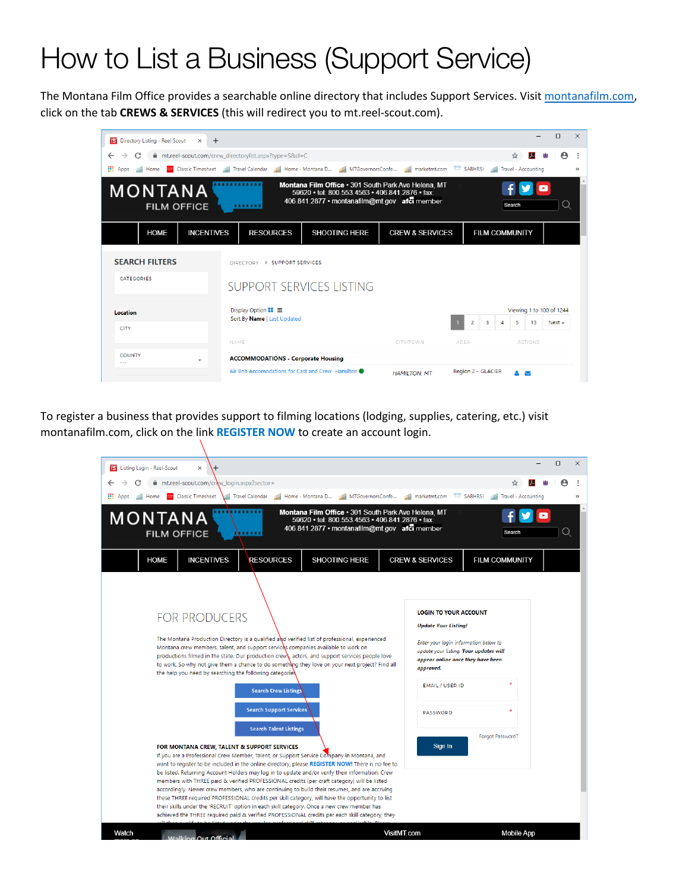# How to List a Business (Support Service)

The Montana Film Office provides a searchable online directory that includes Support Services. Visit [montanafilm.com,](https://www.montanafilm.com/) click on the tab **CREWS & SERVICES** (this will redirect you to mt.reel-scout.com).

| <b>IS</b> Directory Listing - Reel-Scout<br>$+$<br>$\times$                                                                                                                                                        |                                                                                                                       |                      |                            |                       |                          | $\Box$                | $\times$      |
|--------------------------------------------------------------------------------------------------------------------------------------------------------------------------------------------------------------------|-----------------------------------------------------------------------------------------------------------------------|----------------------|----------------------------|-----------------------|--------------------------|-----------------------|---------------|
| mt.reel-scout.com/crew_directorylist.aspx?type=S&cl=C<br>C<br>$\leftarrow$<br>$\rightarrow$                                                                                                                        |                                                                                                                       |                      |                            |                       | 入<br>☆                   | $\boldsymbol{\Theta}$ |               |
| <b>HI</b> Apps<br><b>Ill</b> Home                                                                                                                                                                                  | Classic Timesheet Travel Calendar Home - Montana D He MIGovernorsConfe He marketmt.com SABHRSI Ha Travel - Accounting |                      |                            |                       |                          |                       | $\rightarrow$ |
| Montana Film Office . 301 South Park Ave Helena, MT<br>MONTANA<br>59620 • tel: 800.553.4563 • 406.841.2876 • fax:<br>406.841.2877 • montanafilm@mt.gov afci member<br>Search<br>Q<br><b>FILM OFFICE</b><br>,,,,,,, |                                                                                                                       |                      |                            |                       |                          |                       |               |
| <b>HOME</b><br><b>INCENTIVES</b>                                                                                                                                                                                   | <b>RESOURCES</b>                                                                                                      | <b>SHOOTING HERE</b> | <b>CREW &amp; SERVICES</b> | <b>FILM COMMUNITY</b> |                          |                       |               |
| <b>SEARCH FILTERS</b>                                                                                                                                                                                              | DIRECTORY > SUPPORT SERVICES                                                                                          |                      |                            |                       |                          |                       |               |
| <b>CATEGORIES</b>                                                                                                                                                                                                  | SUPPORT SERVICES LISTING                                                                                              |                      |                            |                       |                          |                       |               |
| Location                                                                                                                                                                                                           | Display Option $\blacksquare\blacksquare$                                                                             |                      |                            |                       | Viewing 1 to 100 of 1244 |                       |               |
| <b>CITY</b>                                                                                                                                                                                                        | Sort By Name   Last Updated                                                                                           |                      |                            | 2<br>з<br>4           | 5<br>13                  | Next »                |               |
|                                                                                                                                                                                                                    | <b>NAME</b>                                                                                                           |                      | CITY/TOWN                  | <b>AREA</b>           | <b>ACTIONS</b>           |                       |               |
| <b>COUNTY</b><br>$\overline{\phantom{a}}$                                                                                                                                                                          | <b>ACCOMMODATIONS - Corporate Housing</b>                                                                             |                      |                            |                       |                          |                       |               |
|                                                                                                                                                                                                                    | Air Bnb Accomodations for Cast and Crew- Hamilton                                                                     |                      | <b>HAMILTON, MT</b>        | Region 2 - GLACIER    | AΝ                       |                       |               |

To register a business that provides support to filming locations (lodging, supplies, catering, etc.) visit montanafilm.com, click on the link **REGISTER NOW** to create an account login.

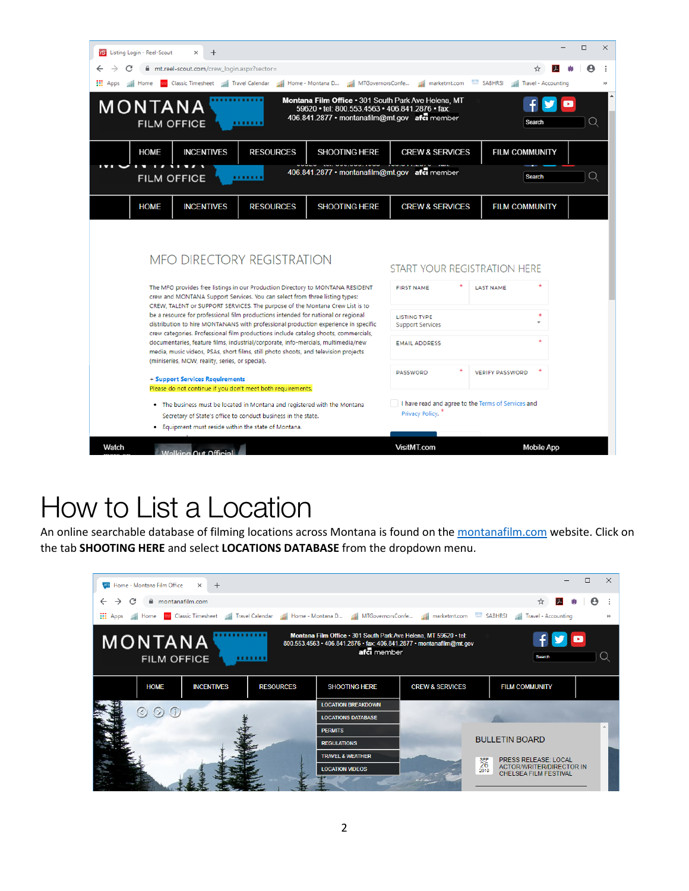| <b>IS</b> Listing Login - Reel-Scout<br>$\div$                                                                                                                                                                                                                                     | □<br>$\times$                                                                                                                                                               |
|------------------------------------------------------------------------------------------------------------------------------------------------------------------------------------------------------------------------------------------------------------------------------------|-----------------------------------------------------------------------------------------------------------------------------------------------------------------------------|
| mt.reel-scout.com/crew_login.aspx?sector=                                                                                                                                                                                                                                          |                                                                                                                                                                             |
| $\frac{111}{211}$ Apps<br>Classic Timesheet   Travel Calendar   Home - Montana D<br>Home                                                                                                                                                                                           | MTGovernorsConfe<br>SABHRSI<br><b>SAFE</b><br>marketmt.com<br><b>Illi</b> Travel - Accounting                                                                               |
| MONTANA<br><b>FILM OFFICE</b><br>,,,,,,,                                                                                                                                                                                                                                           | Montana Film Office . 301 South Park Ave Helena, MT<br>×<br>59620 · tel: 800.553.4563 · 406.841.2876 · fax:<br>406.841.2877 • montanafilm@mt.gov afci member<br>Q<br>Search |
| <b>INCENTIVES</b><br><b>RESOURCES</b><br><b>SHOOTING HERE</b><br><b>HOME</b>                                                                                                                                                                                                       | <b>CREW &amp; SERVICES</b><br><b>FILM COMMUNITY</b>                                                                                                                         |
| <b>FILM OFFICE</b><br>                                                                                                                                                                                                                                                             | 406.841.2877 • montanafilm@mt.gov afci member<br>Q<br><b>Search</b>                                                                                                         |
| <b>RESOURCES</b><br><b>SHOOTING HERE</b><br><b>HOME</b><br><b>INCENTIVES</b>                                                                                                                                                                                                       | <b>CREW &amp; SERVICES</b><br><b>FILM COMMUNITY</b>                                                                                                                         |
| <b>MFO DIRECTORY REGISTRATION</b><br>The MFO provides free listings in our Production Directory to MONTANA RESIDENT<br>crew and MONTANA Support Services. You can select from three listing types:<br>CREW, TALENT or SUPPORT SERVICES. The purpose of the Montana Crew List is to | START YOUR REGISTRATION HERE<br><b>FIRST NAME</b><br><b>LAST NAME</b>                                                                                                       |
| be a resource for professional film productions intended for national or regional<br>distribution to hire MONTANANS with professional production experience in specific<br>crew categories. Professional film productions include catalog shoots, commercials,                     | <b>LISTING TYPE</b><br><b>Support Services</b>                                                                                                                              |
| documentaries, feature films, industrial/corporate, info-mercials, multimedia/new<br>media, music videos, PSAs, short films, still photo shoots, and television projects<br>(miniseries, MOW, reality, series, or special).                                                        | <b>EMAIL ADDRESS</b>                                                                                                                                                        |
| + Support Services Requirements<br>Please do not continue if you don't meet both requirements.                                                                                                                                                                                     | <b>VERIFY PASSWORD</b><br><b>PASSWORD</b>                                                                                                                                   |
| . The business must be located in Montana and registered with the Montana<br>Secretary of State's office to conduct business in the state.<br>. Equipment must reside within the state of Montana.                                                                                 | I have read and agree to the Terms of Services and<br>Privacy Policy.                                                                                                       |
| Watch<br>Walking Out Official                                                                                                                                                                                                                                                      | VisitMT.com<br><b>Mobile App</b>                                                                                                                                            |

# How to List a Location

An online searchable database of filming locations across Montana is found on th[e montanafilm.com](https://www.montanafilm.com/) website. Click on the tab **SHOOTING HERE** and select **LOCATIONS DATABASE** from the dropdown menu.